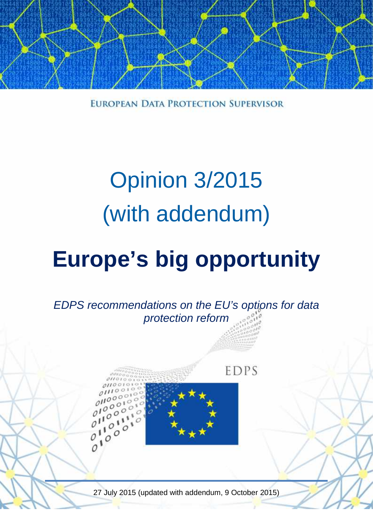

EUROPEAN DATA PROTECTION SUPERVISOR

# Opinion 3/2015 (with addendum)

# **Europe's big opportunity**



27 July 2015 (updated with addendum, 9 October 2015)

1 A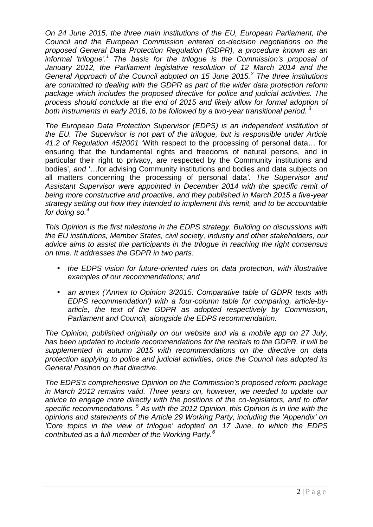*On 24 June 2015, the three main institutions of the EU, European Parliament, the Council and the European Commission entered co-decision negotiations on the proposed General Data Protection Regulation (GDPR), a procedure known as an informal 'trilogue'.<sup>1</sup> The basis for the trilogue is the Commission's proposal of January 2012, the Parliament legislative resolution of 12 March 2014 and the General Approach of the Council adopted on 15 June 2015.<sup>2</sup> The three institutions are committed to dealing with the GDPR as part of the wider data protection reform package which includes the proposed directive for police and judicial activities. The process should conclude at the end of 2015 and likely allow for formal adoption of both instruments in early 2016, to be followed by a two-year transitional period. <sup>3</sup>*

*The European Data Protection Supervisor (EDPS) is an independent institution of the EU. The Supervisor is not part of the trilogue, but is responsible under Article 41.2 of Regulation 45/2001 '*With respect to the processing of personal data… for ensuring that the fundamental rights and freedoms of natural persons, and in particular their right to privacy, are respected by the Community institutions and bodies'*, and* '…for advising Community institutions and bodies and data subjects on all matters concerning the processing of personal data*'. The Supervisor and Assistant Supervisor were appointed in December 2014 with the specific remit of being more constructive and proactive, and they published in March 2015 a five-year strategy setting out how they intended to implement this remit, and to be accountable for doing so.<sup>4</sup>*

*This Opinion is the first milestone in the EDPS strategy. Building on discussions with the EU institutions, Member States, civil society, industry and other stakeholders, our advice aims to assist the participants in the trilogue in reaching the right consensus on time. It addresses the GDPR in two parts:*

- *the EDPS vision for future-oriented rules on data protection, with illustrative examples of our recommendations; and*
- *an annex ('Annex to Opinion 3/2015: Comparative table of GDPR texts with EDPS recommendation') with a four-column table for comparing, article-by article, the text of the GDPR as adopted respectively by Commission, Parliament and Council, alongside the EDPS recommendation.*

*The Opinion, published originally on our website and via a mobile app on 27 July, has been updated to include recommendations for the recitals to the GDPR. It will be supplemented in autumn 2015 with recommendations on the directive on data protection applying to police and judicial activities, once the Council has adopted its General Position on that directive.*

*The EDPS's comprehensive Opinion on the Commission's proposed reform package in March 2012 remains valid. Three years on, however, we needed to update our advice to engage more directly with the positions of the co-legislators, and to offer specific recommendations. <sup>5</sup> As with the 2012 Opinion, this Opinion is in line with the opinions and statements of the Article 29 Working Party, including the 'Appendix' on 'Core topics in the view of trilogue' adopted on 17 June, to which the EDPS contributed as a full member of the Working Party.<sup>6</sup>*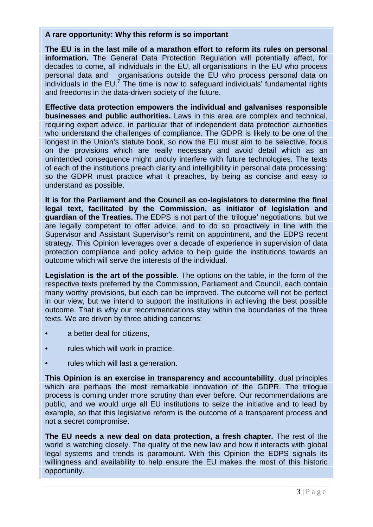#### **A rare opportunity: Why this reform is so important**

**The EU is in the last mile of a marathon effort to reform its rules on personal information.** The General Data Protection Regulation will potentially affect, for decades to come, all individuals in the EU, all organisations in the EU who process personal data and organisations outside the EU who process personal data on individuals in the  $EU^7$ . The time is now to safeguard individuals' fundamental rights and freedoms in the data-driven society of the future.

**Effective data protection empowers the individual and galvanises responsible businesses and public authorities.** Laws in this area are complex and technical, requiring expert advice, in particular that of independent data protection authorities who understand the challenges of compliance. The GDPR is likely to be one of the longest in the Union's statute book, so now the EU must aim to be selective, focus on the provisions which are really necessary and avoid detail which as an unintended consequence might unduly interfere with future technologies. The texts of each of the institutions preach clarity and intelligibility in personal data processing: so the GDPR must practice what it preaches, by being as concise and easy to understand as possible.

**It is for the Parliament and the Council as co-legislators to determine the final legal text, facilitated by the Commission, as initiator of legislation and guardian of the Treaties.** The EDPS is not part of the 'trilogue' negotiations, but we are legally competent to offer advice, and to do so proactively in line with the Supervisor and Assistant Supervisor's remit on appointment, and the EDPS recent strategy. This Opinion leverages over a decade of experience in supervision of data protection compliance and policy advice to help guide the institutions towards an outcome which will serve the interests of the individual.

**Legislation is the art of the possible.** The options on the table, in the form of the respective texts preferred by the Commission, Parliament and Council, each contain many worthy provisions, but each can be improved. The outcome will not be perfect in our view, but we intend to support the institutions in achieving the best possible outcome. That is why our recommendations stay within the boundaries of the three texts. We are driven by three abiding concerns:

- a better deal for citizens,
- rules which will work in practice,
- rules which will last a generation.

**This Opinion is an exercise in transparency and accountability**, dual principles which are perhaps the most remarkable innovation of the GDPR. The trilogue process is coming under more scrutiny than ever before. Our recommendations are public, and we would urge all EU institutions to seize the initiative and to lead by example, so that this legislative reform is the outcome of a transparent process and not a secret compromise.

ignals its<br>s historic<br> $3 | P a g e$ **The EU needs a new deal on data protection, a fresh chapter.** The rest of the world is watching closely. The quality of the new law and how it interacts with global legal systems and trends is paramount. With this Opinion the EDPS signals its willingness and availability to help ensure the EU makes the most of this historic opportunity.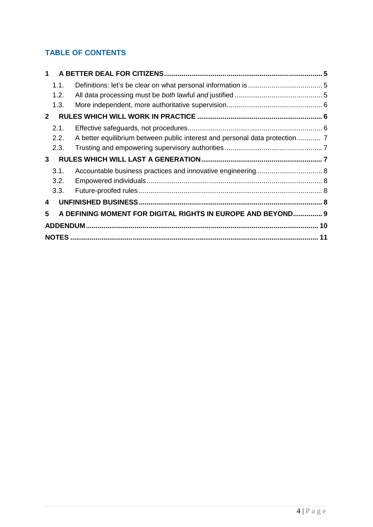### **TABLE OF CONTENTS**

| 1            |      |                                                             |  |
|--------------|------|-------------------------------------------------------------|--|
|              | 1.1. |                                                             |  |
|              | 1.2. |                                                             |  |
|              | 1.3. |                                                             |  |
| $\mathbf{2}$ |      |                                                             |  |
|              | 2.1. |                                                             |  |
|              | 2.2. |                                                             |  |
|              | 2.3. |                                                             |  |
| $\mathbf{3}$ |      |                                                             |  |
|              | 3.1. |                                                             |  |
|              | 3.2. |                                                             |  |
|              | 3.3. |                                                             |  |
| 4            |      |                                                             |  |
| 5            |      | A DEFINING MOMENT FOR DIGITAL RIGHTS IN EUROPE AND BEYOND 9 |  |
|              |      |                                                             |  |
|              |      |                                                             |  |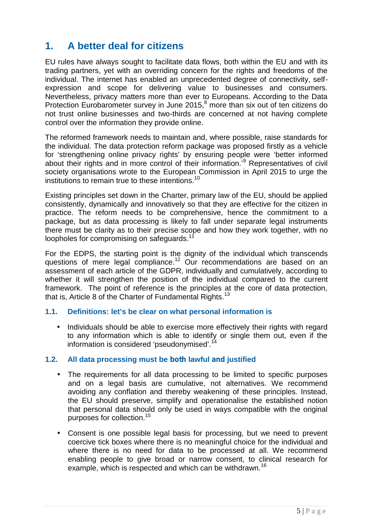# **1. A better deal for citizens**

EU rules have always sought to facilitate data flows, both within the EU and with its trading partners, yet with an overriding concern for the rights and freedoms of the individual. The internet has enabled an unprecedented degree of connectivity, self expression and scope for delivering value to businesses and consumers. Nevertheless, privacy matters more than ever to Europeans. According to the Data Protection Eurobarometer survey in June 2015,<sup>8</sup> more than six out of ten citizens do not trust online businesses and two-thirds are concerned at not having complete control over the information they provide online.

The reformed framework needs to maintain and, where possible, raise standards for the individual. The data protection reform package was proposed firstly as a vehicle for 'strengthening online privacy rights' by ensuring people were 'better informed about their rights and in more control of their information.'<sup>9</sup> Representatives of civil society organisations wrote to the European Commission in April 2015 to urge the institutions to remain true to these intentions.<sup>10</sup>

Existing principles set down in the Charter, primary law of the EU, should be applied consistently, dynamically and innovatively so that they are effective for the citizen in practice. The reform needs to be comprehensive, hence the commitment to a package, but as data processing is likely to fall under separate legal instruments there must be clarity as to their precise scope and how they work together, with no loopholes for compromising on safeguards.<sup>1</sup>

For the EDPS, the starting point is the dignity of the individual which transcends questions of mere legal compliance.<sup>12</sup> Our recommendations are based on an assessment of each article of the GDPR, individually and cumulatively, according to whether it will strengthen the position of the individual compared to the current framework. The point of reference is the principles at the core of data protection, that is, Article 8 of the Charter of Fundamental Rights.<sup>13</sup>

#### **1.1. Definitions: let's be clear on what personal information is**

• Individuals should be able to exercise more effectively their rights with regard to any information which is able to identify or single them out, even if the information is considered 'pseudonymised'.<sup>14</sup>

#### **1.2. All data processing must be** *both* **lawful** *and* **justified**

- The requirements for all data processing to be limited to specific purposes and on a legal basis are cumulative, not alternatives. We recommend avoiding any conflation and thereby weakening of these principles. Instead, the EU should preserve, simplify and operationalise the established notion that personal data should only be used in ways compatible with the original purposes for collection.<sup>15</sup>
- 5 | P a g e Consent is one possible legal basis for processing, but we need to prevent coercive tick boxes where there is no meaningful choice for the individual and where there is no need for data to be processed at all. We recommend enabling people to give broad or narrow consent, to clinical research for example, which is respected and which can be withdrawn.<sup>16</sup>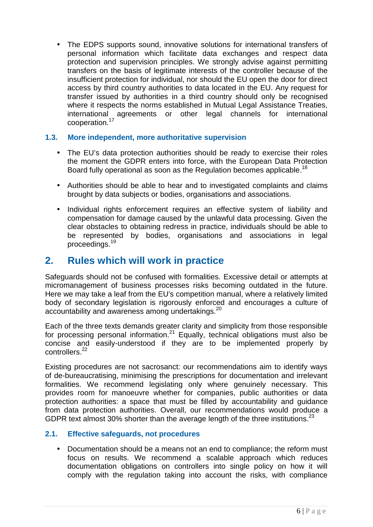The EDPS supports sound, innovative solutions for international transfers of personal information which facilitate data exchanges and respect data protection and supervision principles. We strongly advise against permitting transfers on the basis of legitimate interests of the controller because of the insufficient protection for individual, nor should the EU open the door for direct access by third country authorities to data located in the EU. Any request for transfer issued by authorities in a third country should only be recognised where it respects the norms established in Mutual Legal Assistance Treaties, international agreements or other legal channels for international cooperation.<sup>17</sup>

#### **1.3. More independent, more authoritative supervision**

- The EU's data protection authorities should be ready to exercise their roles the moment the GDPR enters into force, with the European Data Protection Board fully operational as soon as the Regulation becomes applicable.<sup>18</sup>
- Authorities should be able to hear and to investigated complaints and claims brought by data subjects or bodies, organisations and associations.
- Individual rights enforcement requires an effective system of liability and compensation for damage caused by the unlawful data processing. Given the clear obstacles to obtaining redress in practice, individuals should be able to be represented by bodies, organisations and associations in legal proceedings.<sup>19</sup>

## **2. Rules which will work in practice**

Safeguards should not be confused with formalities. Excessive detail or attempts at micromanagement of business processes risks becoming outdated in the future. Here we may take a leaf from the EU's competition manual, where a relatively limited body of secondary legislation is rigorously enforced and encourages a culture of accountability and awareness among undertakings.<sup>20</sup>

Each of the three texts demands greater clarity and simplicity from those responsible for processing personal information.<sup>21</sup> Equally, technical obligations must also be concise and easily-understood if they are to be implemented properly by controllers.<sup>22</sup>

Existing procedures are not sacrosanct: our recommendations aim to identify ways of de-bureaucratising, minimising the prescriptions for documentation and irrelevant formalities. We recommend legislating only where genuinely necessary. This provides room for manoeuvre whether for companies, public authorities or data protection authorities: a space that must be filled by accountability and guidance from data protection authorities. Overall, our recommendations would produce a GDPR text almost 30% shorter than the average length of the three institutions.<sup>23</sup>

#### **2.1. Effective safeguards, not procedures**

by it will<br>ompliance<br>6 | P a g e • Documentation should be a means not an end to compliance; the reform must focus on results. We recommend a scalable approach which reduces documentation obligations on controllers into single policy on how it will comply with the regulation taking into account the risks, with compliance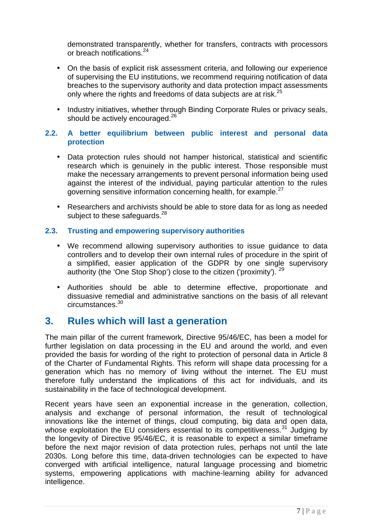demonstrated transparently, whether for transfers, contracts with processors or breach notifications<sup>24</sup>

- On the basis of explicit risk assessment criteria, and following our experience of supervising the EU institutions, we recommend requiring notification of data breaches to the supervisory authority and data protection impact assessments only where the rights and freedoms of data subiects are at risk.<sup>25</sup>
- Industry initiatives, whether through Binding Corporate Rules or privacy seals, should be actively encouraged.<sup>26</sup>

#### **2.2. A better equilibrium between public interest and personal data protection**

- Data protection rules should not hamper historical, statistical and scientific research which is genuinely in the public interest. Those responsible must make the necessary arrangements to prevent personal information being used against the interest of the individual, paying particular attention to the rules governing sensitive information concerning health, for example.<sup>27</sup>
- Researchers and archivists should be able to store data for as long as needed subject to these safeguards.<sup>28</sup>

#### **2.3. Trusting and empowering supervisory authorities**

- We recommend allowing supervisory authorities to issue guidance to data controllers and to develop their own internal rules of procedure in the spirit of a simplified, easier application of the GDPR by one single supervisory authority (the 'One Stop Shop') close to the citizen ('proximity'). <sup>29</sup>
- Authorities should be able to determine effective, proportionate and dissuasive remedial and administrative sanctions on the basis of all relevant circumstances.<sup>30</sup>

### **3. Rules which will last a generation**

The main pillar of the current framework, Directive 95/46/EC, has been a model for further legislation on data processing in the EU and around the world, and even provided the basis for wording of the right to protection of personal data in Article 8 of the Charter of Fundamental Rights. This reform will shape data processing for a generation which has no memory of living without the internet. The EU must therefore fully understand the implications of this act for individuals, and its sustainability in the face of technological development.

advanced<br> $7 | P \text{ a } g e$ Recent years have seen an exponential increase in the generation, collection, analysis and exchange of personal information, the result of technological innovations like the internet of things, cloud computing, big data and open data, whose exploitation the EU considers essential to its competitiveness.<sup>31</sup> Judging by the longevity of Directive 95/46/EC, it is reasonable to expect a similar timeframe before the next major revision of data protection rules, perhaps not until the late 2030s. Long before this time, data-driven technologies can be expected to have converged with artificial intelligence, natural language processing and biometric systems, empowering applications with machine-learning ability for advanced intelligence.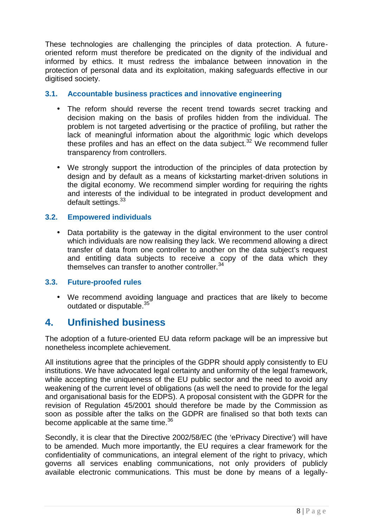These technologies are challenging the principles of data protection. A future oriented reform must therefore be predicated on the dignity of the individual and informed by ethics. It must redress the imbalance between innovation in the protection of personal data and its exploitation, making safeguards effective in our digitised society.

#### **3.1. Accountable business practices and innovative engineering**

- The reform should reverse the recent trend towards secret tracking and decision making on the basis of profiles hidden from the individual. The problem is not targeted advertising or the practice of profiling, but rather the lack of meaningful information about the algorithmic logic which develops these profiles and has an effect on the data subject. $32$  We recommend fuller transparency from controllers.
- We strongly support the introduction of the principles of data protection by design and by default as a means of kickstarting market-driven solutions in the digital economy. We recommend simpler wording for requiring the rights and interests of the individual to be integrated in product development and default settings.<sup>33</sup>

#### **3.2. Empowered individuals**

• Data portability is the gateway in the digital environment to the user control which individuals are now realising they lack. We recommend allowing a direct transfer of data from one controller to another on the data subject's request and entitling data subjects to receive a copy of the data which they themselves can transfer to another controller.<sup>34</sup>

#### **3.3. Future-proofed rules**

 We recommend avoiding language and practices that are likely to become outdated or disputable.<sup>35</sup>

## **4. Unfinished business**

The adoption of a future-oriented EU data reform package will be an impressive but nonetheless incomplete achievement.

All institutions agree that the principles of the GDPR should apply consistently to EU institutions. We have advocated legal certainty and uniformity of the legal framework, while accepting the uniqueness of the EU public sector and the need to avoid any weakening of the current level of obligations (as well the need to provide for the legal and organisational basis for the EDPS). A proposal consistent with the GDPR for the revision of Regulation 45/2001 should therefore be made by the Commission as soon as possible after the talks on the GDPR are finalised so that both texts can become applicable at the same time.<sup>36</sup>

a legally-<br> $8 | P a g e$ Secondly, it is clear that the Directive 2002/58/EC (the 'ePrivacy Directive') will have to be amended. Much more importantly, the EU requires a clear framework for the confidentiality of communications, an integral element of the right to privacy, which governs all services enabling communications, not only providers of publicly available electronic communications. This must be done by means of a legally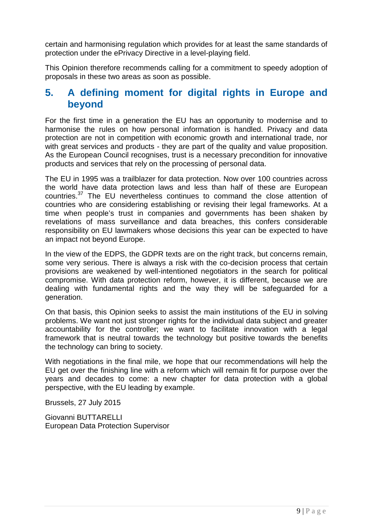certain and harmonising regulation which provides for at least the same standards of protection under the ePrivacy Directive in a level-playing field.

This Opinion therefore recommends calling for a commitment to speedy adoption of proposals in these two areas as soon as possible.

## **5. A defining moment for digital rights in Europe and beyond**

For the first time in a generation the EU has an opportunity to modernise and to harmonise the rules on how personal information is handled. Privacy and data protection are not in competition with economic growth and international trade, nor with great services and products - they are part of the quality and value proposition. As the European Council recognises, trust is a necessary precondition for innovative products and services that rely on the processing of personal data.

The EU in 1995 was a trailblazer for data protection. Now over 100 countries across the world have data protection laws and less than half of these are European countries.<sup>37</sup> The EU nevertheless continues to command the close attention of countries who are considering establishing or revising their legal frameworks. At a time when people's trust in companies and governments has been shaken by revelations of mass surveillance and data breaches, this confers considerable responsibility on EU lawmakers whose decisions this year can be expected to have an impact not beyond Europe.

In the view of the EDPS, the GDPR texts are on the right track, but concerns remain, some very serious. There is always a risk with the co-decision process that certain provisions are weakened by well-intentioned negotiators in the search for political compromise. With data protection reform, however, it is different, because we are dealing with fundamental rights and the way they will be safeguarded for a generation.

On that basis, this Opinion seeks to assist the main institutions of the EU in solving problems. We want not just stronger rights for the individual data subject and greater accountability for the controller; we want to facilitate innovation with a legal framework that is neutral towards the technology but positive towards the benefits the technology can bring to society.

With negotiations in the final mile, we hope that our recommendations will help the EU get over the finishing line with a reform which will remain fit for purpose over the years and decades to come: a new chapter for data protection with a global perspective, with the EU leading by example.

Brussels, 27 July 2015

Giovanni BUTTARELLI European Data Protection Supervisor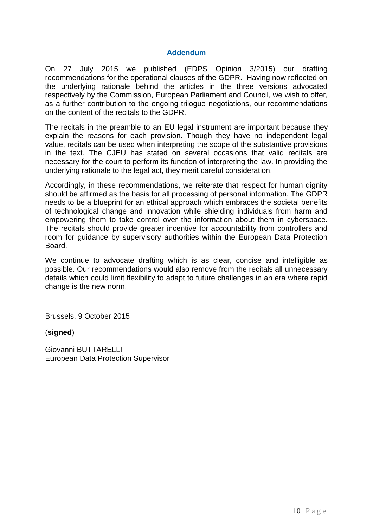#### **Addendum**

On 27 July 2015 we published (EDPS Opinion 3/2015) our drafting recommendations for the operational clauses of the GDPR. Having now reflected on the underlying rationale behind the articles in the three versions advocated respectively by the Commission, European Parliament and Council, we wish to offer, as a further contribution to the ongoing trilogue negotiations, our recommendations on the content of the recitals to the GDPR.

The recitals in the preamble to an EU legal instrument are important because they explain the reasons for each provision. Though they have no independent legal value, recitals can be used when interpreting the scope of the substantive provisions in the text. The CJEU has stated on several occasions that valid recitals are necessary for the court to perform its function of interpreting the law. In providing the underlying rationale to the legal act, they merit careful consideration.

Accordingly, in these recommendations, we reiterate that respect for human dignity should be affirmed as the basis for all processing of personal information. The GDPR needs to be a blueprint for an ethical approach which embraces the societal benefits of technological change and innovation while shielding individuals from harm and empowering them to take control over the information about them in cyberspace. The recitals should provide greater incentive for accountability from controllers and room for guidance by supervisory authorities within the European Data Protection Board.

We continue to advocate drafting which is as clear, concise and intelligible as possible. Our recommendations would also remove from the recitals all unnecessary details which could limit flexibility to adapt to future challenges in an era where rapid change is the new norm.

Brussels, 9 October 2015

(**signed**)

Giovanni BUTTARELLI European Data Protection Supervisor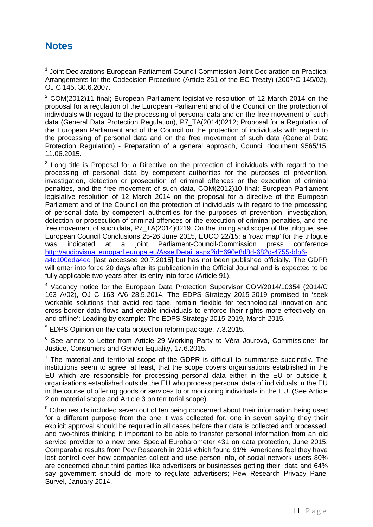## **Notes**

<sup>1</sup> Joint Declarations European Parliament Council Commission Joint Declaration on Practical Arrangements for the Codecision Procedure (Article 251 of the EC Treaty) (2007/C 145/02), OJ C 145, 30.6.2007.

<sup>2</sup> COM(2012)11 final; European Parliament legislative resolution of 12 March 2014 on the proposal for a regulation of the European Parliament and of the Council on the protection of individuals with regard to the processing of personal data and on the free movement of such data (General Data Protection Regulation), P7\_TA(2014)0212; Proposal for a Regulation of the European Parliament and of the Council on the protection of individuals with regard to the processing of personal data and on the free movement of such data (General Data Protection Regulation) - Preparation of a general approach, Council document 9565/15, 11.06.2015.

 $3$  Long title is Proposal for a Directive on the protection of individuals with regard to the processing of personal data by competent authorities for the purposes of prevention, investigation, detection or prosecution of criminal offences or the execution of criminal penalties, and the free movement of such data, COM(2012)10 final; European Parliament legislative resolution of 12 March 2014 on the proposal for a directive of the European Parliament and of the Council on the protection of individuals with regard to the processing of personal data by competent authorities for the purposes of prevention, investigation, detection or prosecution of criminal offences or the execution of criminal penalties, and the free movement of such data, P7\_TA(2014)0219. On the timing and scope of the trilogue, see European Council Conclusions 25-26 June 2015, EUCO 22/15; a 'road map' for the trilogue was indicated at a joint Parliament-Council-Commission press conference http://audiovisual.europarl.europa.eu/AssetDetail.aspx?id=690e8d8d-682d-4755-bfb6 a4c100eda4ed [last accessed 20.7.2015] but has not been published officially. The GDPR will enter into force 20 days after its publication in the Official Journal and is expected to be fully applicable two years after its entry into force (Article 91).

<sup>4</sup> Vacancy notice for the European Data Protection Supervisor COM/2014/10354 (2014/C 163 A/02), OJ C 163 A/6 28.5.2014. The EDPS Strategy 2015-2019 promised to 'seek workable solutions that avoid red tape, remain flexible for technological innovation and cross-border data flows and enable individuals to enforce their rights more effectively on and offline'; Leading by example: The EDPS Strategy 2015-2019, March 2015.

<sup>5</sup> EDPS Opinion on the data protection reform package, 7.3.2015.

 $6$  See annex to Letter from Article 29 Working Party to V ra Jourová, Commissioner for Justice, Consumers and Gender Equality, 17.6.2015.

 $<sup>7</sup>$  The material and territorial scope of the GDPR is difficult to summarise succinctly. The</sup> institutions seem to agree, at least, that the scope covers organisations established in the EU which are responsible for processing personal data either in the EU or outside it, organisations established outside the EU who process personal data of individuals in the EU in the course of offering goods or services to or monitoring individuals in the EU. (See Article 2 on material scope and Article 3 on territorial scope).

ta and 64%<br>vacy Panel<br>11 | P a g e <sup>8</sup> Other results included seven out of ten being concerned about their information being used for a different purpose from the one it was collected for, one in seven saying they their explicit approval should be required in all cases before their data is collected and processed, and two-thirds thinking it important to be able to transfer personal information from an old service provider to a new one; Special Eurobarometer 431 on data protection, June 2015. Comparable results from Pew Research in 2014 which found 91% Americans feel they have lost control over how companies collect and use person info, of social network users 80% are concerned about third parties like advertisers or businesses getting their data and 64% say government should do more to regulate advertisers; Pew Research Privacy Panel Survel, January 2014.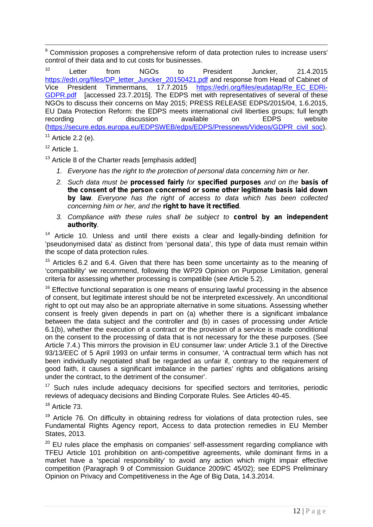<sup>9</sup> Commission proposes a comprehensive reform of data protection rules to increase users' control of their data and to cut costs for businesses.

<sup>10</sup> Letter from NGOs to President Juncker, 21.4.2015 https://edri.org/files/DP\_letter\_Juncker\_20150421.pdf and response from Head of Cabinet of Vice President Timmermans, 17.7.2015 https://edri.org/files/eudatap/Re\_EC\_EDRi- GDPR.pdf [accessed 23.7.2015]. The EDPS met with representatives of several of these NGOs to discuss their concerns on May 2015; PRESS RELEASE EDPS/2015/04, 1.6.2015, EU Data Protection Reform: the EDPS meets international civil liberties groups; full length recording of discussion available on EDPS website (https://secure.edps.europa.eu/EDPSWEB/edps/EDPS/Pressnews/Videos/GDPR\_civil\_soc).  $11$  Article 2.2 (e).

<sup>12</sup> Article 1.

 $13$  Article 8 of the Charter reads [emphasis added]

- *1. Everyone has the right to the protection of personal data concerning him or her.*
- *2. Such data must be processed fairly for specified purposes and on the basis of the consent of the person concerned or some other legitimate basis laid down by law. Everyone has the right of access to data which has been collected concerning him or her, and the right to have it rectified.*
- *3. Compliance with these rules shall be subject to control by an independent authority.*

<sup>14</sup> Article 10. Unless and until there exists a clear and legally-binding definition for 'pseudonymised data' as distinct from 'personal data', this type of data must remain within the scope of data protection rules.

<sup>15</sup> Articles 6.2 and 6.4. Given that there has been some uncertainty as to the meaning of 'compatibility' we recommend, following the WP29 Opinion on Purpose Limitation, general criteria for assessing whether processing is compatible (see Article 5.2).

<sup>16</sup> Effective functional separation is one means of ensuring lawful processing in the absence of consent, but legitimate interest should be not be interpreted excessively. An unconditional right to opt out may also be an appropriate alternative in some situations. Assessing whether consent is freely given depends in part on (a) whether there is a significant imbalance between the data subject and the controller and (b) in cases of processing under Article 6.1(b), whether the execution of a contract or the provision of a service is made conditional on the consent to the processing of data that is not necessary for the these purposes. (See Article 7.4.) This mirrors the provision in EU consumer law: under Article 3.1 of the Directive 93/13/EEC of 5 April 1993 on unfair terms in consumer, 'A contractual term which has not been individually negotiated shall be regarded as unfair if, contrary to the requirement of good faith, it causes a significant imbalance in the parties' rights and obligations arising under the contract, to the detriment of the consumer'.

<sup>17</sup> Such rules include adequacy decisions for specified sectors and territories, periodic reviews of adequacy decisions and Binding Corporate Rules. See Articles 40-45.

<sup>18</sup> Article 73.

 $19$  Article 76. On difficulty in obtaining redress for violations of data protection rules, see Fundamental Rights Agency report, Access to data protection remedies in EU Member States, 2013.

Preliminary<br>12 | P a g e  $20$  EU rules place the emphasis on companies' self-assessment regarding compliance with TFEU Article 101 prohibition on anti-competitive agreements, while dominant firms in a market have a 'special responsibility' to avoid any action which might impair effective competition (Paragraph 9 of Commission Guidance 2009/C 45/02); see EDPS Preliminary Opinion on Privacy and Competitiveness in the Age of Big Data, 14.3.2014.